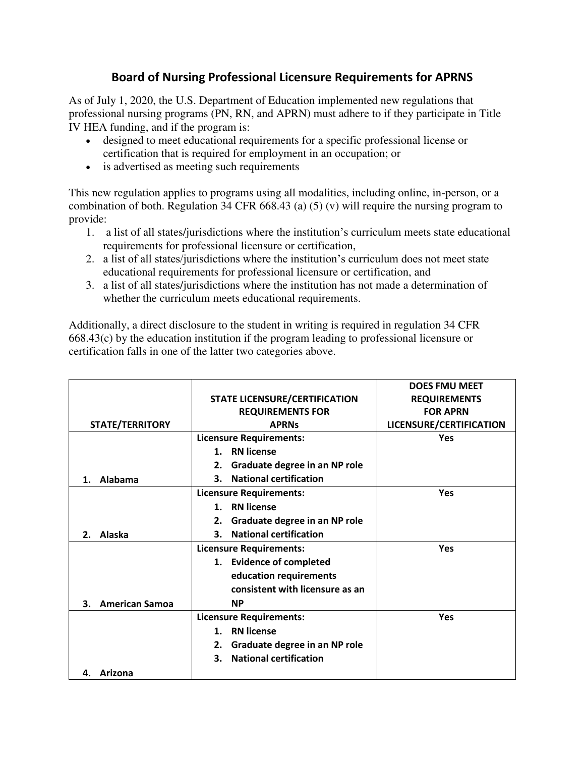## **Board of Nursing Professional Licensure Requirements for APRNS**

As of July 1, 2020, the U.S. Department of Education implemented new regulations that professional nursing programs (PN, RN, and APRN) must adhere to if they participate in Title IV HEA funding, and if the program is:

- designed to meet educational requirements for a specific professional license or certification that is required for employment in an occupation; or
- is advertised as meeting such requirements

This new regulation applies to programs using all modalities, including online, in-person, or a combination of both. Regulation 34 CFR 668.43 (a) (5) (v) will require the nursing program to provide:

- 1. a list of all states/jurisdictions where the institution's curriculum meets state educational requirements for professional licensure or certification,
- 2. a list of all states/jurisdictions where the institution's curriculum does not meet state educational requirements for professional licensure or certification, and
- 3. a list of all states/jurisdictions where the institution has not made a determination of whether the curriculum meets educational requirements.

Additionally, a direct disclosure to the student in writing is required in regulation 34 CFR 668.43(c) by the education institution if the program leading to professional licensure or certification falls in one of the latter two categories above.

|                             |                                      | <b>DOES FMU MEET</b>    |
|-----------------------------|--------------------------------------|-------------------------|
|                             | <b>STATE LICENSURE/CERTIFICATION</b> | <b>REQUIREMENTS</b>     |
|                             | <b>REQUIREMENTS FOR</b>              | <b>FOR APRN</b>         |
| <b>STATE/TERRITORY</b>      | <b>APRNs</b>                         | LICENSURE/CERTIFICATION |
|                             | <b>Licensure Requirements:</b>       | Yes                     |
|                             | 1. RN license                        |                         |
|                             | Graduate degree in an NP role<br>2.  |                         |
| Alabama<br>$\mathbf 1$ .    | <b>National certification</b><br>3.  |                         |
|                             | <b>Licensure Requirements:</b>       | <b>Yes</b>              |
|                             | 1. RN license                        |                         |
|                             | Graduate degree in an NP role<br>2.  |                         |
| Alaska<br>2.                | <b>National certification</b><br>3.  |                         |
|                             | <b>Licensure Requirements:</b>       | Yes                     |
|                             | 1. Evidence of completed             |                         |
|                             | education requirements               |                         |
|                             | consistent with licensure as an      |                         |
| <b>American Samoa</b><br>З. | <b>NP</b>                            |                         |
|                             | <b>Licensure Requirements:</b>       | <b>Yes</b>              |
|                             | <b>RN</b> license<br>$\mathbf 1$ .   |                         |
|                             | Graduate degree in an NP role<br>2.  |                         |
|                             | <b>National certification</b><br>3.  |                         |
| Arizona<br>4.               |                                      |                         |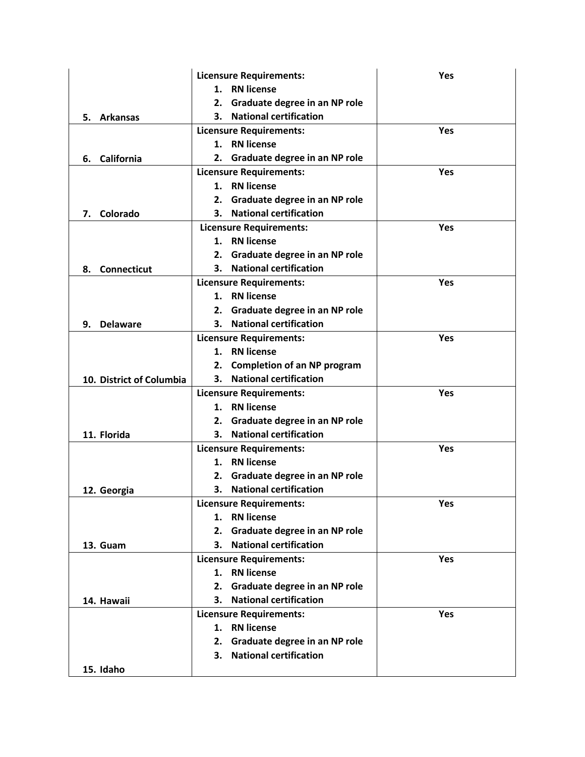|                          | <b>Licensure Requirements:</b>           | <b>Yes</b> |
|--------------------------|------------------------------------------|------------|
|                          | <b>RN</b> license<br>1.                  |            |
|                          | Graduate degree in an NP role<br>2.      |            |
| <b>Arkansas</b><br>5.    | <b>National certification</b><br>3.      |            |
|                          | <b>Licensure Requirements:</b>           | <b>Yes</b> |
|                          | 1. RN license                            |            |
| California<br>6.         | Graduate degree in an NP role<br>2.      |            |
|                          | <b>Licensure Requirements:</b>           | Yes        |
|                          | <b>RN</b> license<br>1.                  |            |
|                          | 2. Graduate degree in an NP role         |            |
| Colorado<br>7.           | <b>National certification</b><br>3.      |            |
|                          | <b>Licensure Requirements:</b>           | Yes        |
|                          | <b>RN</b> license<br>1.                  |            |
|                          | Graduate degree in an NP role<br>2.      |            |
| <b>Connecticut</b><br>8. | 3. National certification                |            |
|                          | <b>Licensure Requirements:</b>           | Yes        |
|                          | <b>RN</b> license<br>1.                  |            |
|                          | 2. Graduate degree in an NP role         |            |
| <b>Delaware</b><br>9.    | <b>National certification</b><br>3.      |            |
|                          | <b>Licensure Requirements:</b>           | <b>Yes</b> |
|                          | <b>RN</b> license<br>1.                  |            |
|                          | <b>Completion of an NP program</b><br>2. |            |
| 10. District of Columbia | <b>National certification</b><br>3.      |            |
|                          | <b>Licensure Requirements:</b>           | Yes        |
|                          | 1. RN license                            |            |
|                          | Graduate degree in an NP role<br>2.      |            |
| 11. Florida              | <b>National certification</b><br>3.      |            |
|                          | <b>Licensure Requirements:</b>           | <b>Yes</b> |
|                          | <b>RN</b> license<br>1.                  |            |
|                          | 2. Graduate degree in an NP role         |            |
| 12. Georgia              | 3. National certification                |            |
|                          | <b>Licensure Requirements:</b>           | Yes        |
|                          | 1. RN license                            |            |
|                          | Graduate degree in an NP role<br>2.      |            |
| 13. Guam                 | 3. National certification                |            |
|                          | <b>Licensure Requirements:</b>           | Yes        |
|                          | 1. RN license                            |            |
|                          | Graduate degree in an NP role<br>2.      |            |
| 14. Hawaii               | 3. National certification                |            |
|                          | <b>Licensure Requirements:</b>           | <b>Yes</b> |
|                          | <b>RN</b> license<br>1.                  |            |
|                          | 2. Graduate degree in an NP role         |            |
|                          | 3. National certification                |            |
| 15. Idaho                |                                          |            |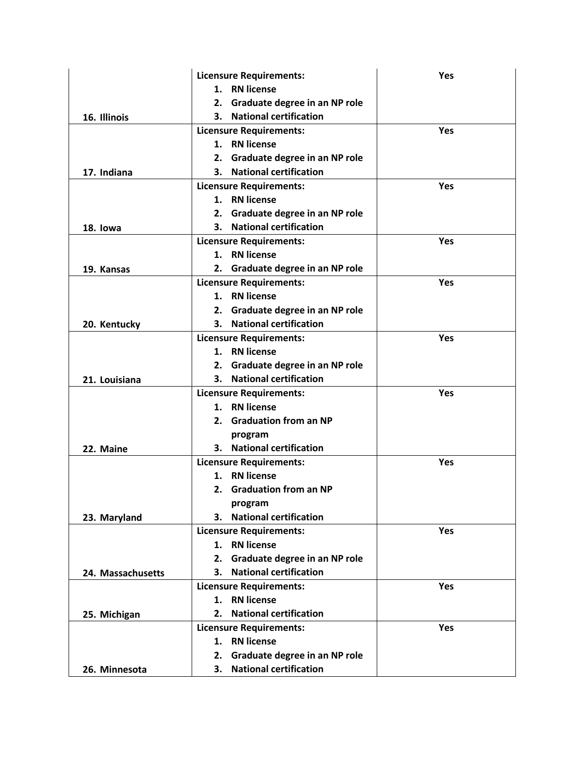|                   | <b>Licensure Requirements:</b>        | <b>Yes</b> |
|-------------------|---------------------------------------|------------|
|                   | 1. RN license                         |            |
|                   | Graduate degree in an NP role<br>2.   |            |
| 16. Illinois      | <b>National certification</b><br>3.   |            |
|                   | <b>Licensure Requirements:</b>        | <b>Yes</b> |
|                   | 1. RN license                         |            |
|                   | Graduate degree in an NP role<br>2.   |            |
| 17. Indiana       | <b>National certification</b><br>3.   |            |
|                   | <b>Licensure Requirements:</b>        | Yes        |
|                   | 1. RN license                         |            |
|                   | 2. Graduate degree in an NP role      |            |
| 18. lowa          | <b>National certification</b><br>3.   |            |
|                   | <b>Licensure Requirements:</b>        | <b>Yes</b> |
|                   | <b>RN</b> license<br>1.               |            |
| 19. Kansas        | 2. Graduate degree in an NP role      |            |
|                   | <b>Licensure Requirements:</b>        | Yes        |
|                   | <b>RN</b> license<br>1.               |            |
|                   | 2. Graduate degree in an NP role      |            |
| 20. Kentucky      | <b>National certification</b><br>3. . |            |
|                   | <b>Licensure Requirements:</b>        | <b>Yes</b> |
|                   | 1. RN license                         |            |
|                   | 2. Graduate degree in an NP role      |            |
| 21. Louisiana     | <b>National certification</b><br>3. . |            |
|                   | <b>Licensure Requirements:</b>        | <b>Yes</b> |
|                   | 1. RN license                         |            |
|                   | 2. Graduation from an NP              |            |
|                   | program                               |            |
| 22. Maine         | 3. National certification             |            |
|                   | <b>Licensure Requirements:</b>        | Yes        |
|                   | 1. RN license                         |            |
|                   | 2. Graduation from an NP              |            |
|                   | program                               |            |
| 23. Maryland      | 3. National certification             |            |
|                   | <b>Licensure Requirements:</b>        | Yes        |
|                   | <b>RN</b> license<br>1.               |            |
|                   | Graduate degree in an NP role<br>2.   |            |
| 24. Massachusetts | <b>National certification</b><br>3.   |            |
|                   | <b>Licensure Requirements:</b>        | <b>Yes</b> |
|                   | <b>RN</b> license<br>1.               |            |
| 25. Michigan      | <b>National certification</b><br>2.   |            |
|                   | <b>Licensure Requirements:</b>        | Yes        |
|                   | 1. RN license                         |            |
|                   | Graduate degree in an NP role<br>2.   |            |
| 26. Minnesota     | <b>National certification</b><br>3.   |            |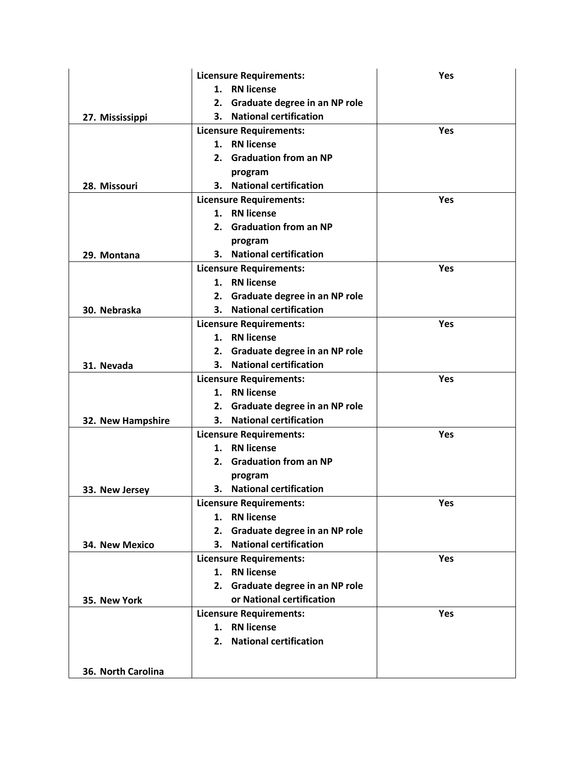|                    | <b>Licensure Requirements:</b>      | <b>Yes</b> |
|--------------------|-------------------------------------|------------|
|                    | 1. RN license                       |            |
|                    | Graduate degree in an NP role<br>2. |            |
| 27. Mississippi    | <b>National certification</b><br>3. |            |
|                    | <b>Licensure Requirements:</b>      | <b>Yes</b> |
|                    | 1. RN license                       |            |
|                    | 2. Graduation from an NP            |            |
|                    | program                             |            |
| 28. Missouri       | 3. National certification           |            |
|                    | <b>Licensure Requirements:</b>      | <b>Yes</b> |
|                    | 1. RN license                       |            |
|                    | 2. Graduation from an NP            |            |
|                    | program                             |            |
| 29. Montana        | 3. National certification           |            |
|                    | <b>Licensure Requirements:</b>      | <b>Yes</b> |
|                    | 1. RN license                       |            |
|                    | Graduate degree in an NP role<br>2. |            |
| 30. Nebraska       | <b>National certification</b><br>3. |            |
|                    | <b>Licensure Requirements:</b>      | <b>Yes</b> |
|                    | 1. RN license                       |            |
|                    | 2. Graduate degree in an NP role    |            |
| 31. Nevada         | <b>National certification</b><br>3. |            |
|                    | <b>Licensure Requirements:</b>      | Yes        |
|                    | <b>RN</b> license<br>1.             |            |
|                    | 2. Graduate degree in an NP role    |            |
| 32. New Hampshire  | 3. National certification           |            |
|                    | <b>Licensure Requirements:</b>      | Yes        |
|                    | <b>RN</b> license<br>1.             |            |
|                    | 2. Graduation from an NP            |            |
|                    | program                             |            |
| 33. New Jersey     | 3. National certification           |            |
|                    | <b>Licensure Requirements:</b>      | Yes        |
|                    | <b>RN</b> license<br>1.             |            |
|                    | Graduate degree in an NP role<br>2. |            |
| 34. New Mexico     | 3. National certification           |            |
|                    | <b>Licensure Requirements:</b>      | <b>Yes</b> |
|                    | 1. RN license                       |            |
|                    | 2. Graduate degree in an NP role    |            |
| 35. New York       | or National certification           |            |
|                    | <b>Licensure Requirements:</b>      | Yes        |
|                    | <b>RN</b> license<br>1.             |            |
|                    | 2. National certification           |            |
|                    |                                     |            |
| 36. North Carolina |                                     |            |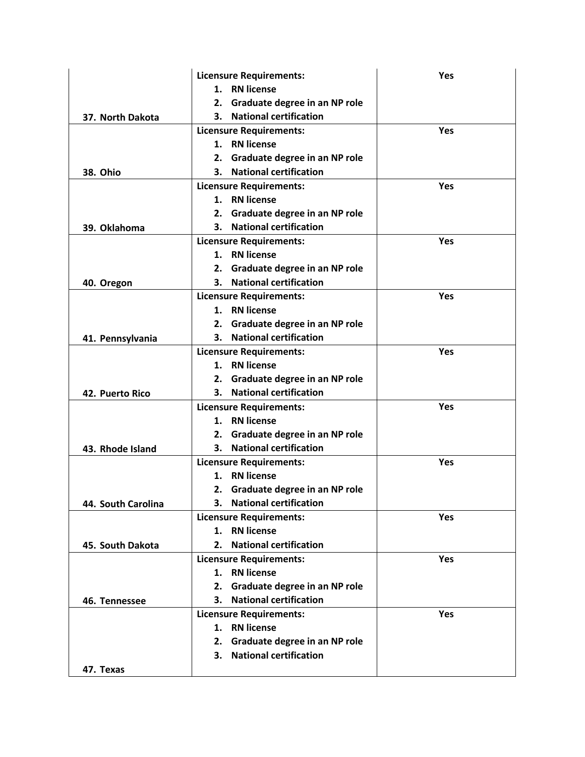|                    | <b>Licensure Requirements:</b>        | <b>Yes</b> |
|--------------------|---------------------------------------|------------|
|                    | <b>RN</b> license<br>1.               |            |
|                    | Graduate degree in an NP role<br>2.   |            |
| 37. North Dakota   | <b>National certification</b><br>3.   |            |
|                    | <b>Licensure Requirements:</b>        | <b>Yes</b> |
|                    | 1. RN license                         |            |
|                    | Graduate degree in an NP role<br>2.   |            |
| <b>38. Ohio</b>    | <b>National certification</b><br>3.   |            |
|                    | <b>Licensure Requirements:</b>        | Yes        |
|                    | 1. RN license                         |            |
|                    | Graduate degree in an NP role<br>2.   |            |
| 39. Oklahoma       | <b>National certification</b><br>3.   |            |
|                    | <b>Licensure Requirements:</b>        | <b>Yes</b> |
|                    | <b>RN</b> license<br>1.               |            |
|                    | 2. Graduate degree in an NP role      |            |
| 40. Oregon         | <b>National certification</b>         |            |
|                    | <b>Licensure Requirements:</b>        | Yes        |
|                    | <b>RN</b> license<br>1.               |            |
|                    | Graduate degree in an NP role<br>2.   |            |
| 41. Pennsylvania   | 3. National certification             |            |
|                    | <b>Licensure Requirements:</b>        | Yes        |
|                    | <b>RN</b> license<br>1.               |            |
|                    | 2. Graduate degree in an NP role      |            |
| 42. Puerto Rico    | <b>National certification</b><br>3. . |            |
|                    | <b>Licensure Requirements:</b>        | <b>Yes</b> |
|                    | <b>RN</b> license<br>1.               |            |
|                    | Graduate degree in an NP role<br>2.   |            |
| 43. Rhode Island   | <b>National certification</b><br>3.   |            |
|                    | <b>Licensure Requirements:</b>        | Yes        |
|                    | 1. RN license                         |            |
|                    | 2. Graduate degree in an NP role      |            |
| 44. South Carolina | 3. National certification             |            |
|                    | <b>Licensure Requirements:</b>        | Yes        |
|                    | <b>RN</b> license<br>1.               |            |
| 45. South Dakota   | <b>National certification</b><br>2.   |            |
|                    | <b>Licensure Requirements:</b>        | Yes        |
|                    | <b>RN</b> license<br>1.               |            |
|                    | Graduate degree in an NP role<br>2.   |            |
| 46. Tennessee      | <b>National certification</b><br>3.   |            |
|                    | <b>Licensure Requirements:</b>        | Yes        |
|                    | <b>RN</b> license<br>1.               |            |
|                    | 2. Graduate degree in an NP role      |            |
|                    | <b>National certification</b><br>3.   |            |
| 47. Texas          |                                       |            |